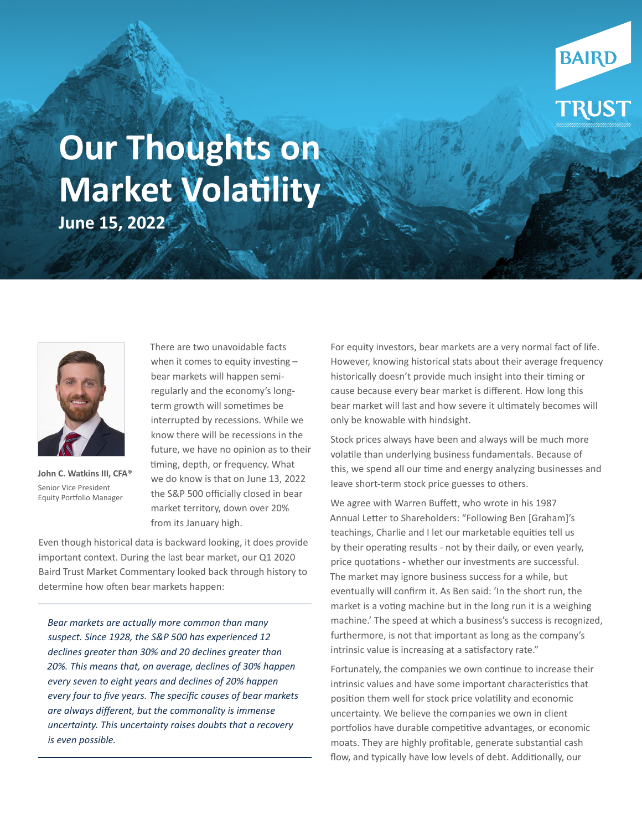## **Our Thoughts on Market Volatility June 15, 2022**



**John C. Watkins III, CFA®** Senior Vice President Equity Portfolio Manager

There are two unavoidable facts when it comes to equity investing – bear markets will happen semiregularly and the economy's longterm growth will sometimes be interrupted by recessions. While we know there will be recessions in the future, we have no opinion as to their timing, depth, or frequency. What we do know is that on June 13, 2022 the S&P 500 officially closed in bear market territory, down over 20% from its January high.

Even though historical data is backward looking, it does provide important context. During the last bear market, our Q1 2020 Baird Trust Market Commentary looked back through history to determine how often bear markets happen:

*Bear markets are actually more common than many suspect. Since 1928, the S&P 500 has experienced 12 declines greater than 30% and 20 declines greater than 20%. This means that, on average, declines of 30% happen every seven to eight years and declines of 20% happen every four to five years. The specific causes of bear markets are always different, but the commonality is immense uncertainty. This uncertainty raises doubts that a recovery is even possible.*

For equity investors, bear markets are a very normal fact of life. However, knowing historical stats about their average frequency historically doesn't provide much insight into their timing or cause because every bear market is different. How long this bear market will last and how severe it ultimately becomes will only be knowable with hindsight.

**BAIRD** 

**RUST** 

Stock prices always have been and always will be much more volatile than underlying business fundamentals. Because of this, we spend all our time and energy analyzing businesses and leave short-term stock price guesses to others.

We agree with Warren Buffett, who wrote in his 1987 Annual Letter to Shareholders: "Following Ben [Graham]'s teachings, Charlie and I let our marketable equities tell us by their operating results - not by their daily, or even yearly, price quotations - whether our investments are successful. The market may ignore business success for a while, but eventually will confirm it. As Ben said: 'In the short run, the market is a voting machine but in the long run it is a weighing machine.' The speed at which a business's success is recognized, furthermore, is not that important as long as the company's intrinsic value is increasing at a satisfactory rate."

Fortunately, the companies we own continue to increase their intrinsic values and have some important characteristics that position them well for stock price volatility and economic uncertainty. We believe the companies we own in client portfolios have durable competitive advantages, or economic moats. They are highly profitable, generate substantial cash flow, and typically have low levels of debt. Additionally, our